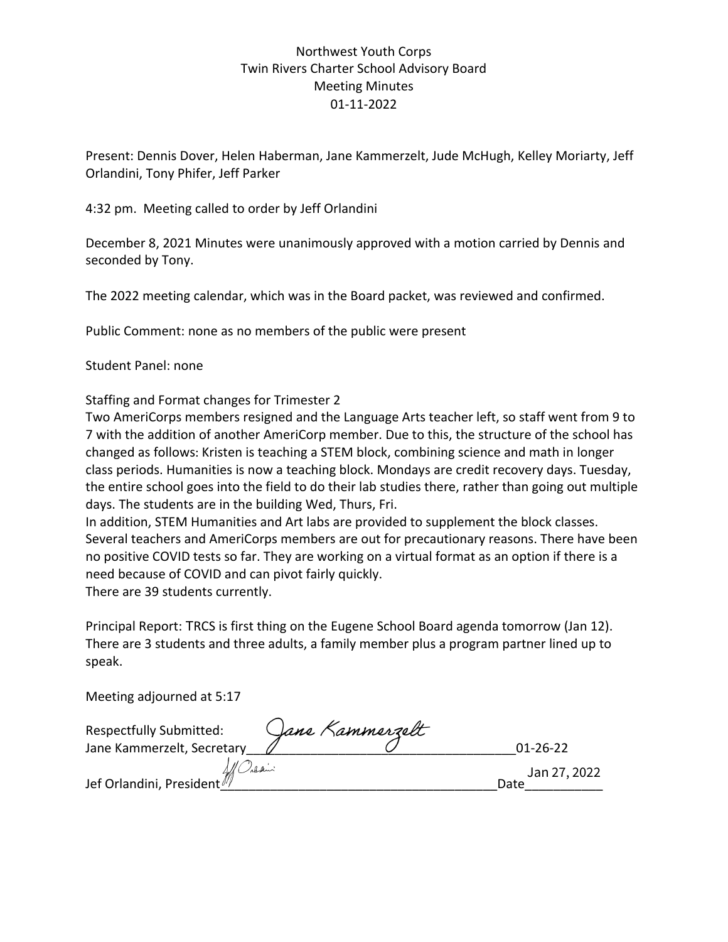## Northwest Youth Corps Twin Rivers Charter School Advisory Board Meeting Minutes 01-11-2022

Present: Dennis Dover, Helen Haberman, Jane Kammerzelt, Jude McHugh, Kelley Moriarty, Jeff Orlandini, Tony Phifer, Jeff Parker

4:32 pm. Meeting called to order by Jeff Orlandini

December 8, 2021 Minutes were unanimously approved with a motion carried by Dennis and seconded by Tony.

The 2022 meeting calendar, which was in the Board packet, was reviewed and confirmed.

Public Comment: none as no members of the public were present

## Student Panel: none

Staffing and Format changes for Trimester 2

Two AmeriCorps members resigned and the Language Arts teacher left, so staff went from 9 to 7 with the addition of another AmeriCorp member. Due to this, the structure of the school has changed as follows: Kristen is teaching a STEM block, combining science and math in longer class periods. Humanities is now a teaching block. Mondays are credit recovery days. Tuesday, the entire school goes into the field to do their lab studies there, rather than going out multiple days. The students are in the building Wed, Thurs, Fri.

In addition, STEM Humanities and Art labs are provided to supplement the block classes. Several teachers and AmeriCorps members are out for precautionary reasons. There have been no positive COVID tests so far. They are working on a virtual format as an option if there is a need because of COVID and can pivot fairly quickly. There are 39 students currently.

Principal Report: TRCS is first thing on the Eugene School Board agenda tomorrow (Jan 12). There are 3 students and three adults, a family member plus a program partner lined up to speak.

Meeting adjourned at 5:17

| <b>Respectfully Submitted:</b> | Jane Kammerzelt |                      |
|--------------------------------|-----------------|----------------------|
| Jane Kammerzelt, Secretary     |                 | $01 - 26 - 22$       |
| All Caldini President          |                 | Jan 27, 2022<br>Date |